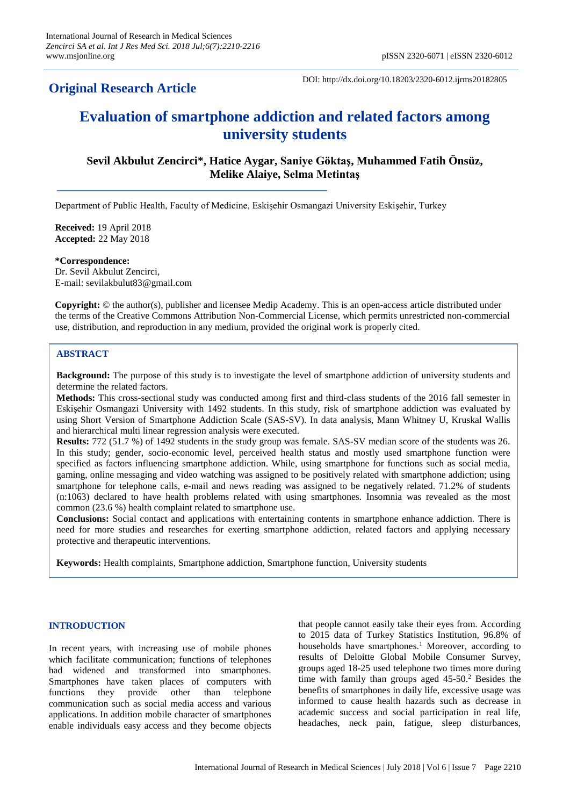# **Original Research Article**

DOI: http://dx.doi.org/10.18203/2320-6012.ijrms20182805

# **Evaluation of smartphone addiction and related factors among university students**

**Sevil Akbulut Zencirci\*, Hatice Aygar, Saniye Göktaş, Muhammed Fatih Önsüz, Melike Alaiye, Selma Metintaş**

Department of Public Health, Faculty of Medicine, Eskişehir Osmangazi University Eskişehir, Turkey

**Received:** 19 April 2018 **Accepted:** 22 May 2018

**\*Correspondence:** Dr. Sevil Akbulut Zencirci, E-mail: sevilakbulut83@gmail.com

**Copyright:** © the author(s), publisher and licensee Medip Academy. This is an open-access article distributed under the terms of the Creative Commons Attribution Non-Commercial License, which permits unrestricted non-commercial use, distribution, and reproduction in any medium, provided the original work is properly cited.

# **ABSTRACT**

**Background:** The purpose of this study is to investigate the level of smartphone addiction of university students and determine the related factors.

**Methods:** This cross-sectional study was conducted among first and third-class students of the 2016 fall semester in Eskişehir Osmangazi University with 1492 students. In this study, risk of smartphone addiction was evaluated by using Short Version of Smartphone Addiction Scale (SAS-SV). In data analysis, Mann Whitney U, Kruskal Wallis and hierarchical multi linear regression analysis were executed.

**Results:** 772 (51.7 %) of 1492 students in the study group was female. SAS-SV median score of the students was 26. In this study; gender, socio-economic level, perceived health status and mostly used smartphone function were specified as factors influencing smartphone addiction. While, using smartphone for functions such as social media, gaming, online messaging and video watching was assigned to be positively related with smartphone addiction; using smartphone for telephone calls, e-mail and news reading was assigned to be negatively related. 71.2% of students (n:1063) declared to have health problems related with using smartphones. Insomnia was revealed as the most common (23.6 %) health complaint related to smartphone use.

**Conclusions:** Social contact and applications with entertaining contents in smartphone enhance addiction. There is need for more studies and researches for exerting smartphone addiction, related factors and applying necessary protective and therapeutic interventions.

**Keywords:** Health complaints, Smartphone addiction, Smartphone function, University students

#### **INTRODUCTION**

In recent years, with increasing use of mobile phones which facilitate communication; functions of telephones had widened and transformed into smartphones. Smartphones have taken places of computers with functions they provide other than telephone communication such as social media access and various applications. In addition mobile character of smartphones enable individuals easy access and they become objects that people cannot easily take their eyes from. According to 2015 data of Turkey Statistics Institution, 96.8% of households have smartphones.<sup>1</sup> Moreover, according to results of Deloitte Global Mobile Consumer Survey, groups aged 18-25 used telephone two times more during time with family than groups aged  $45-50<sup>2</sup>$  Besides the benefits of smartphones in daily life, excessive usage was informed to cause health hazards such as decrease in academic success and social participation in real life, headaches, neck pain, fatigue, sleep disturbances,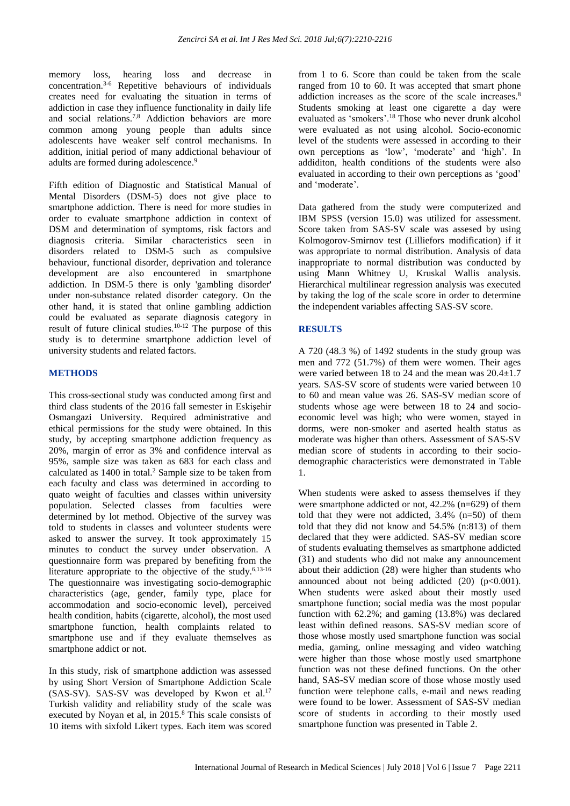memory loss, hearing loss and decrease in concentration.3-6 Repetitive behaviours of individuals creates need for evaluating the situation in terms of addiction in case they influence functionality in daily life and social relations.7,8 Addiction behaviors are more common among young people than adults since adolescents have weaker self control mechanisms. In addition, initial period of many addictional behaviour of adults are formed during adolescence.<sup>9</sup>

Fifth edition of Diagnostic and Statistical Manual of Mental Disorders (DSM-5) does not give place to smartphone addiction. There is need for more studies in order to evaluate smartphone addiction in context of DSM and determination of symptoms, risk factors and diagnosis criteria. Similar characteristics seen in disorders related to DSM-5 such as compulsive behaviour, functional disorder, deprivation and tolerance development are also encountered in smartphone addiction. In DSM-5 there is only 'gambling disorder' under non-substance related disorder category. On the other hand, it is stated that online gambling addiction could be evaluated as separate diagnosis category in result of future clinical studies.10-12 The purpose of this study is to determine smartphone addiction level of university students and related factors.

#### **METHODS**

This cross-sectional study was conducted among first and third class students of the 2016 fall semester in Eskişehir Osmangazi University. Required administrative and ethical permissions for the study were obtained. In this study, by accepting smartphone addiction frequency as 20%, margin of error as 3% and confidence interval as 95%, sample size was taken as 683 for each class and calculated as  $1400$  in total.<sup>2</sup> Sample size to be taken from each faculty and class was determined in according to quato weight of faculties and classes within university population. Selected classes from faculties were determined by lot method. Objective of the survey was told to students in classes and volunteer students were asked to answer the survey. It took approximately 15 minutes to conduct the survey under observation. A questionnaire form was prepared by benefiting from the literature appropriate to the objective of the study.<sup>6,13-16</sup> The questionnaire was investigating socio-demographic characteristics (age, gender, family type, place for accommodation and socio-economic level), perceived health condition, habits (cigarette, alcohol), the most used smartphone function, health complaints related to smartphone use and if they evaluate themselves as smartphone addict or not.

In this study, risk of smartphone addiction was assessed by using Short Version of Smartphone Addiction Scale  $(SAS-SV)$ . SAS-SV was developed by Kwon et al.<sup>17</sup> Turkish validity and reliability study of the scale was executed by Noyan et al, in 2015.<sup>8</sup> This scale consists of 10 items with sixfold Likert types. Each item was scored from 1 to 6. Score than could be taken from the scale ranged from 10 to 60. It was accepted that smart phone addiction increases as the score of the scale increases.<sup>8</sup> Students smoking at least one cigarette a day were evaluated as 'smokers'.<sup>18</sup> Those who never drunk alcohol were evaluated as not using alcohol. Socio-economic level of the students were assessed in according to their own perceptions as 'low', 'moderate' and 'high'. In addiditon, health conditions of the students were also evaluated in according to their own perceptions as 'good' and 'moderate'.

Data gathered from the study were computerized and IBM SPSS (version 15.0) was utilized for assessment. Score taken from SAS-SV scale was assesed by using Kolmogorov-Smirnov test (Lilliefors modification) if it was appropriate to normal distribution. Analysis of data inappropriate to normal distribution was conducted by using Mann Whitney U, Kruskal Wallis analysis. Hierarchical multilinear regression analysis was executed by taking the log of the scale score in order to determine the independent variables affecting SAS-SV score.

#### **RESULTS**

A 720 (48.3 %) of 1492 students in the study group was men and 772 (51.7%) of them were women. Their ages were varied between 18 to 24 and the mean was  $20.4+1.7$ years. SAS-SV score of students were varied between 10 to 60 and mean value was 26. SAS-SV median score of students whose age were between 18 to 24 and socioeconomic level was high; who were women, stayed in dorms, were non-smoker and aserted health status as moderate was higher than others. Assessment of SAS-SV median score of students in according to their sociodemographic characteristics were demonstrated in Table 1.

When students were asked to assess themselves if they were smartphone addicted or not, 42.2% (n=629) of them told that they were not addicted, 3.4% (n=50) of them told that they did not know and 54.5% (n:813) of them declared that they were addicted. SAS-SV median score of students evaluating themselves as smartphone addicted (31) and students who did not make any announcement about their addiction (28) were higher than students who announced about not being addicted  $(20)$   $(p<0.001)$ . When students were asked about their mostly used smartphone function; social media was the most popular function with 62.2%; and gaming (13.8%) was declared least within defined reasons. SAS-SV median score of those whose mostly used smartphone function was social media, gaming, online messaging and video watching were higher than those whose mostly used smartphone function was not these defined functions. On the other hand, SAS-SV median score of those whose mostly used function were telephone calls, e-mail and news reading were found to be lower. Assessment of SAS-SV median score of students in according to their mostly used smartphone function was presented in Table 2.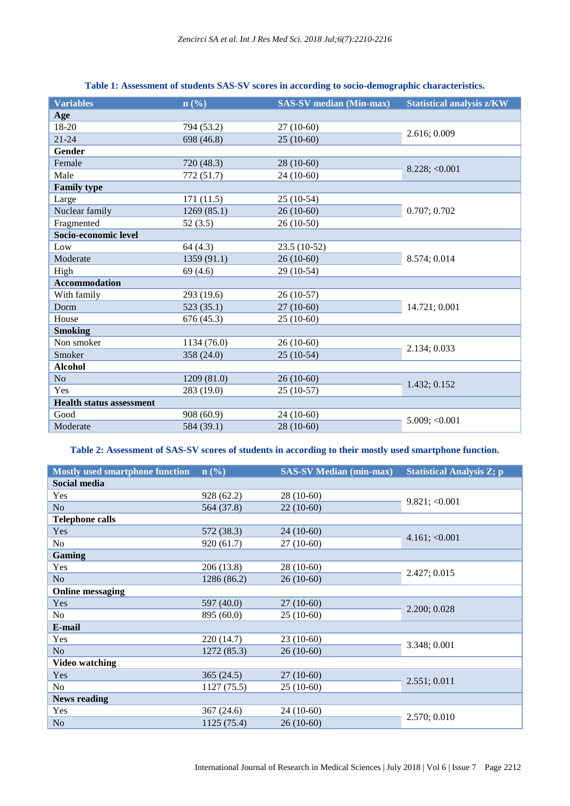| n(%)        | <b>SAS-SV</b> median (Min-max) | <b>Statistical analysis z/KW</b> |
|-------------|--------------------------------|----------------------------------|
|             |                                |                                  |
| 794 (53.2)  | $27(10-60)$                    | 2.616; 0.009                     |
| 698 (46.8)  | $25(10-60)$                    |                                  |
|             |                                |                                  |
| 720 (48.3)  | 28 (10-60)                     | $8.228$ ; < 0.001                |
| 772 (51.7)  | $24(10-60)$                    |                                  |
|             |                                |                                  |
| 171(11.5)   | $25(10-54)$                    | 0.707; 0.702                     |
| 1269(85.1)  | $26(10-60)$                    |                                  |
| 52(3.5)     | $26(10-50)$                    |                                  |
|             |                                |                                  |
| 64(4.3)     | $23.5(10-52)$                  |                                  |
| 1359 (91.1) | $26(10-60)$                    | 8.574; 0.014                     |
| 69(4.6)     | 29 (10-54)                     |                                  |
|             |                                |                                  |
| 293 (19.6)  | $26(10-57)$                    | 14.721; 0.001                    |
| 523(35.1)   | $27(10-60)$                    |                                  |
| 676 (45.3)  | $25(10-60)$                    |                                  |
|             |                                |                                  |
| 1134 (76.0) | $26(10-60)$                    | 2.134; 0.033                     |
| 358 (24.0)  | $25(10-54)$                    |                                  |
|             |                                |                                  |
| 1209 (81.0) | $26(10-60)$                    | 1.432; 0.152                     |
| 283 (19.0)  | $25(10-57)$                    |                                  |
|             |                                |                                  |
| 908 (60.9)  | $24(10-60)$                    | 5.009; < 0.001                   |
|             |                                |                                  |
|             |                                | 584 (39.1)<br>28 (10-60)         |

# **Table 1: Assessment of students SAS-SV scores in according to socio-demographic characteristics.**

# **Table 2: Assessment of SAS-SV scores of students in according to their mostly used smartphone function.**

| <b>Mostly used smartphone function</b> | $\mathbf{n}(\%)$ | <b>SAS-SV Median (min-max)</b> | <b>Statistical Analysis Z; p</b> |
|----------------------------------------|------------------|--------------------------------|----------------------------------|
| Social media                           |                  |                                |                                  |
| Yes                                    | 928 (62.2)       | $28(10-60)$                    | 9.821; < 0.001                   |
| N <sub>o</sub>                         | 564 (37.8)       | $22(10-60)$                    |                                  |
| <b>Telephone calls</b>                 |                  |                                |                                  |
| Yes                                    | 572 (38.3)       | $24(10-60)$                    | 4.161; < 0.001                   |
| No                                     | 920 (61.7)       | $27(10-60)$                    |                                  |
| Gaming                                 |                  |                                |                                  |
| Yes                                    | 206 (13.8)       | $28(10-60)$                    | 2.427; 0.015                     |
| N <sub>o</sub>                         | 1286 (86.2)      | $26(10-60)$                    |                                  |
| <b>Online messaging</b>                |                  |                                |                                  |
| Yes                                    | 597 (40.0)       | $27(10-60)$                    | 2.200; 0.028                     |
| N <sub>o</sub>                         | 895 (60.0)       | $25(10-60)$                    |                                  |
| E-mail                                 |                  |                                |                                  |
| Yes                                    | 220 (14.7)       | $23(10-60)$                    | 3.348; 0.001                     |
| N <sub>o</sub>                         | 1272 (85.3)      | $26(10-60)$                    |                                  |
| <b>Video watching</b>                  |                  |                                |                                  |
| Yes                                    | 365(24.5)        | $27(10-60)$                    | 2.551; 0.011                     |
| N <sub>o</sub>                         | 1127(75.5)       | $25(10-60)$                    |                                  |
| <b>News reading</b>                    |                  |                                |                                  |
| Yes                                    | 367(24.6)        | $24(10-60)$                    | 2.570; 0.010                     |
| N <sub>o</sub>                         | 1125 (75.4)      | $26(10-60)$                    |                                  |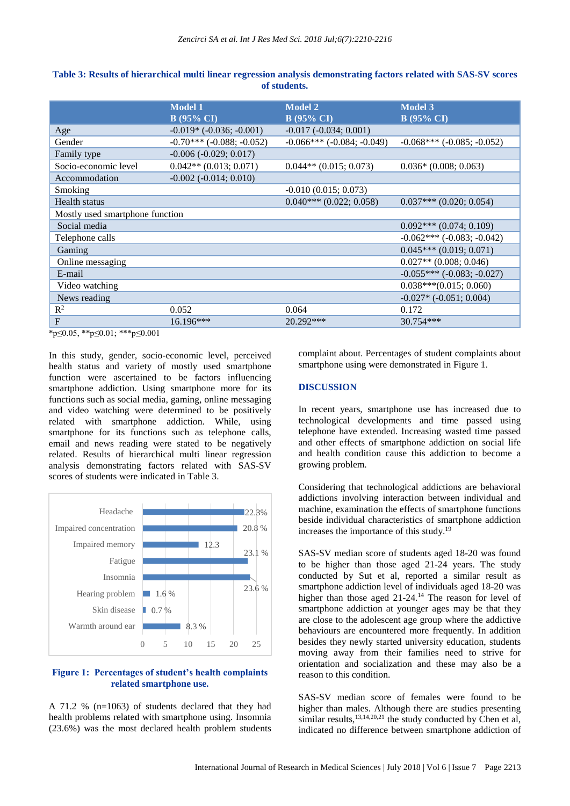|                                 | <b>Model 1</b><br><b>B</b> (95% CI) | <b>Model 2</b><br><b>B</b> (95% CI)  | <b>Model 3</b><br><b>B</b> (95% CI) |
|---------------------------------|-------------------------------------|--------------------------------------|-------------------------------------|
| Age                             | $-0.019*$ $(-0.036; -0.001)$        | $-0.017$ $(-0.034; 0.001)$           |                                     |
| Gender                          | $-0.70***$ ( $-0.088$ ; $-0.052$ )  | $-0.066$ *** ( $-0.084$ ; $-0.049$ ) | $-0.068***$ ( $-0.085$ ; $-0.052$ ) |
| Family type                     | $-0.006 (-0.029; 0.017)$            |                                      |                                     |
| Socio-economic level            | $0.042**$ (0.013; 0.071)            | $0.044**$ (0.015; 0.073)             | $0.036*(0.008; 0.063)$              |
| Accommodation                   | $-0.002$ $(-0.014; 0.010)$          |                                      |                                     |
| Smoking                         |                                     | $-0.010(0.015; 0.073)$               |                                     |
| Health status                   |                                     | $0.040***(0.022;0.058)$              | $0.037***$ (0.020; 0.054)           |
| Mostly used smartphone function |                                     |                                      |                                     |
| Social media                    |                                     |                                      | $0.092***(0.074;0.109)$             |
| Telephone calls                 |                                     |                                      | $-0.062***$ ( $-0.083$ ; $-0.042$ ) |
| Gaming                          |                                     |                                      | $0.045***(0.019;0.071)$             |
| Online messaging                |                                     |                                      | $0.027**$ (0.008; 0.046)            |
| E-mail                          |                                     |                                      | $-0.055***(-0.083; -0.027)$         |
| Video watching                  |                                     |                                      | $0.038***(0.015;0.060)$             |
| News reading                    |                                     |                                      | $-0.027*$ $(-0.051; 0.004)$         |
| $R^2$                           | 0.052                               | 0.064                                | 0.172                               |
| $F_{\rm}$                       | $16.196***$                         | 20.292***                            | 30.754***                           |
| *n/0.05 **n/0.01 · ***n/0.001   |                                     |                                      |                                     |

**Table 3: Results of hierarchical multi linear regression analysis demonstrating factors related with SAS-SV scores of students.**

\*p≤0.05, \*\*p≤0.01; \*\*\*p≤0.001

In this study, gender, socio-economic level, perceived health status and variety of mostly used smartphone function were ascertained to be factors influencing smartphone addiction. Using smartphone more for its functions such as social media, gaming, online messaging and video watching were determined to be positively related with smartphone addiction. While, using smartphone for its functions such as telephone calls, email and news reading were stated to be negatively related. Results of hierarchical multi linear regression analysis demonstrating factors related with SAS-SV scores of students were indicated in Table 3.



#### **Figure 1: Percentages of student's health complaints related smartphone use.**

A 71.2 % (n=1063) of students declared that they had health problems related with smartphone using. Insomnia (23.6%) was the most declared health problem students complaint about. Percentages of student complaints about smartphone using were demonstrated in Figure 1.

#### **DISCUSSION**

In recent years, smartphone use has increased due to technological developments and time passed using telephone have extended. Increasing wasted time passed and other effects of smartphone addiction on social life and health condition cause this addiction to become a growing problem.

Considering that technological addictions are behavioral addictions involving interaction between individual and machine, examination the effects of smartphone functions beside individual characteristics of smartphone addiction increases the importance of this study.<sup>19</sup>

SAS-SV median score of students aged 18-20 was found to be higher than those aged 21-24 years. The study conducted by Sut et al, reported a similar result as smartphone addiction level of individuals aged 18-20 was higher than those aged 21-24.<sup>14</sup> The reason for level of smartphone addiction at younger ages may be that they are close to the adolescent age group where the addictive behaviours are encountered more frequently. In addition besides they newly started university education, students moving away from their families need to strive for orientation and socialization and these may also be a reason to this condition.

SAS-SV median score of females were found to be higher than males. Although there are studies presenting similar results,<sup>13,14,20,21</sup> the study conducted by Chen et al, indicated no difference between smartphone addiction of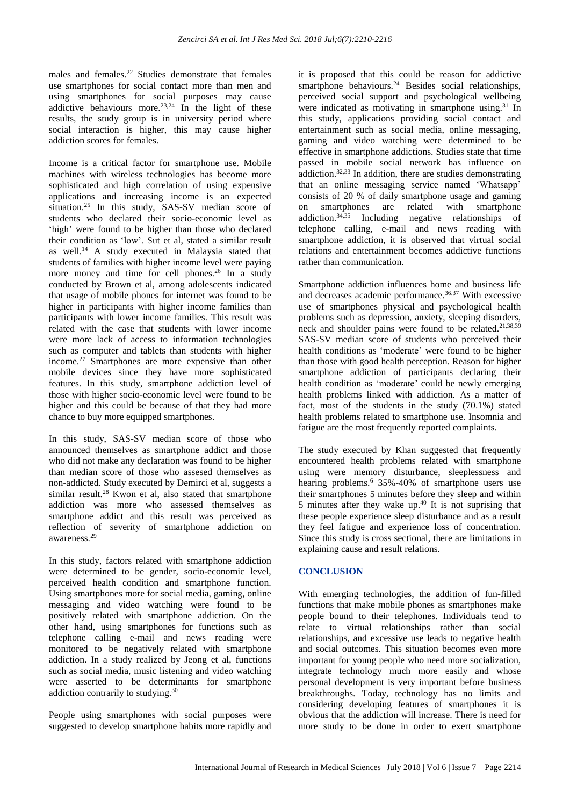males and females.<sup>22</sup> Studies demonstrate that females use smartphones for social contact more than men and using smartphones for social purposes may cause addictive behaviours more. $23,24$  In the light of these results, the study group is in university period where social interaction is higher, this may cause higher addiction scores for females.

Income is a critical factor for smartphone use. Mobile machines with wireless technologies has become more sophisticated and high correlation of using expensive applications and increasing income is an expected situation.<sup>25</sup> In this study, SAS-SV median score of students who declared their socio-economic level as 'high' were found to be higher than those who declared their condition as 'low'. Sut et al, stated a similar result as well.<sup>14</sup> A study executed in Malaysia stated that students of families with higher income level were paying more money and time for cell phones.<sup>26</sup> In a study conducted by Brown et al, among adolescents indicated that usage of mobile phones for internet was found to be higher in participants with higher income families than participants with lower income families. This result was related with the case that students with lower income were more lack of access to information technologies such as computer and tablets than students with higher income.<sup>27</sup> Smartphones are more expensive than other mobile devices since they have more sophisticated features. In this study, smartphone addiction level of those with higher socio-economic level were found to be higher and this could be because of that they had more chance to buy more equipped smartphones.

In this study, SAS-SV median score of those who announced themselves as smartphone addict and those who did not make any declaration was found to be higher than median score of those who assesed themselves as non-addicted. Study executed by Demirci et al, suggests a similar result.<sup>28</sup> Kwon et al, also stated that smartphone addiction was more who assessed themselves as smartphone addict and this result was perceived as reflection of severity of smartphone addiction on awareness.<sup>29</sup>

In this study, factors related with smartphone addiction were determined to be gender, socio-economic level, perceived health condition and smartphone function. Using smartphones more for social media, gaming, online messaging and video watching were found to be positively related with smartphone addiction. On the other hand, using smartphones for functions such as telephone calling e-mail and news reading were monitored to be negatively related with smartphone addiction. In a study realized by Jeong et al, functions such as social media, music listening and video watching were asserted to be determinants for smartphone addiction contrarily to studying.<sup>30</sup>

People using smartphones with social purposes were suggested to develop smartphone habits more rapidly and it is proposed that this could be reason for addictive It is proposed that this come of the smartphone behaviours.<sup>24</sup> Besides social relationships, perceived social support and psychological wellbeing were indicated as motivating in smartphone using.<sup>31</sup> In this study, applications providing social contact and entertainment such as social media, online messaging, gaming and video watching were determined to be effective in smartphone addictions. Studies state that time passed in mobile social network has influence on addiction.<sup>32,33</sup> In addition, there are studies demonstrating that an online messaging service named 'Whatsapp' consists of 20 % of daily smartphone usage and gaming on smartphones are related with smartphone addiction.34,35 Including negative relationships of telephone calling, e-mail and news reading with smartphone addiction, it is observed that virtual social relations and entertainment becomes addictive functions rather than communication.

Smartphone addiction influences home and business life and decreases academic performance. $36,37$  With excessive use of smartphones physical and psychological health problems such as depression, anxiety, sleeping disorders, neck and shoulder pains were found to be related.21,38,39 SAS-SV median score of students who perceived their health conditions as 'moderate' were found to be higher than those with good health perception. Reason for higher smartphone addiction of participants declaring their health condition as 'moderate' could be newly emerging health problems linked with addiction. As a matter of fact, most of the students in the study (70.1%) stated health problems related to smartphone use. Insomnia and fatigue are the most frequently reported complaints.

The study executed by Khan suggested that frequently encountered health problems related with smartphone using were memory disturbance, sleeplessness and hearing problems.<sup>6</sup> 35%-40% of smartphone users use their smartphones 5 minutes before they sleep and within 5 minutes after they wake up. $40$  It is not suprising that these people experience sleep disturbance and as a result they feel fatigue and experience loss of concentration. Since this study is cross sectional, there are limitations in explaining cause and result relations.

# **CONCLUSION**

With emerging technologies, the addition of fun-filled functions that make mobile phones as smartphones make people bound to their telephones. Individuals tend to relate to virtual relationships rather than social relationships, and excessive use leads to negative health and social outcomes. This situation becomes even more important for young people who need more socialization, integrate technology much more easily and whose personal development is very important before business breakthroughs. Today, technology has no limits and considering developing features of smartphones it is obvious that the addiction will increase. There is need for more study to be done in order to exert smartphone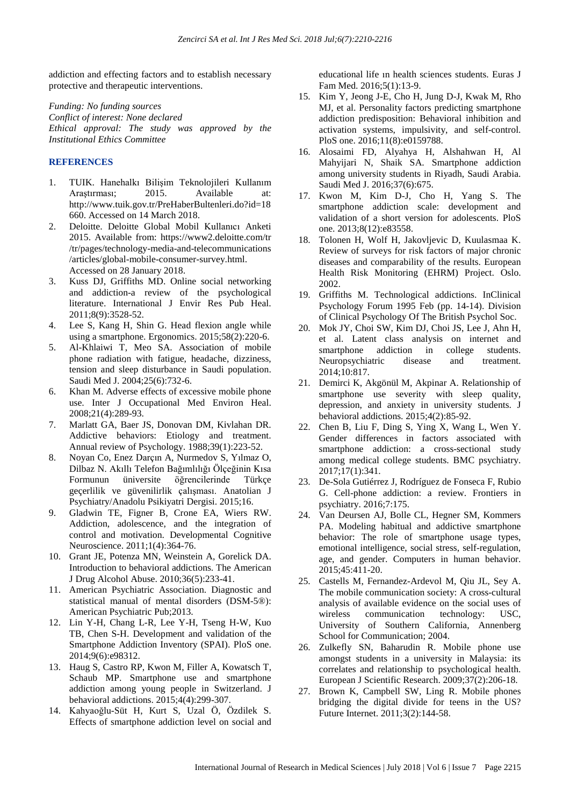addiction and effecting factors and to establish necessary protective and therapeutic interventions.

*Funding: No funding sources Conflict of interest: None declared Ethical approval: The study was approved by the Institutional Ethics Committee*

#### **REFERENCES**

- 1. TUIK. Hanehalkı Bilişim Teknolojileri Kullanım Araştırması; 2015. Available at: http://www.tuik.gov.tr/PreHaberBultenleri.do?id=18 660. Accessed on 14 March 2018.
- 2. Deloitte. Deloitte Global Mobil Kullanıcı Anketi 2015. Available from: https://www2.deloitte.com/tr /tr/pages/technology-media-and-telecommunications /articles/global-mobile-consumer-survey.html. Accessed on 28 January 2018.
- 3. Kuss DJ, Griffiths MD. Online social networking and addiction-a review of the psychological literature. International J Envir Res Pub Heal. 2011;8(9):3528-52.
- 4. Lee S, Kang H, Shin G. Head flexion angle while using a smartphone. Ergonomics. 2015;58(2):220-6.
- 5. Al-Khlaiwi T, Meo SA. Association of mobile phone radiation with fatigue, headache, dizziness, tension and sleep disturbance in Saudi population. Saudi Med J. 2004;25(6):732-6.
- 6. Khan M. Adverse effects of excessive mobile phone use. Inter J Occupational Med Environ Heal. 2008;21(4):289-93.
- 7. Marlatt GA, Baer JS, Donovan DM, Kivlahan DR. Addictive behaviors: Etiology and treatment. Annual review of Psychology. 1988;39(1):223-52.
- 8. Noyan Co, Enez Darçın A, Nurmedov S, Yılmaz O, Dilbaz N. Akıllı Telefon Bağımlılığı Ölçeğinin Kısa Formunun üniversite öğrencilerinde Türkçe geçerlilik ve güvenilirlik çalışması. Anatolian J Psychiatry/Anadolu Psikiyatri Dergisi. 2015;16.
- 9. Gladwin TE, Figner B, Crone EA, Wiers RW. Addiction, adolescence, and the integration of control and motivation. Developmental Cognitive Neuroscience. 2011;1(4):364-76.
- 10. Grant JE, Potenza MN, Weinstein A, Gorelick DA. Introduction to behavioral addictions. The American J Drug Alcohol Abuse. 2010;36(5):233-41.
- 11. American Psychiatric Association. Diagnostic and statistical manual of mental disorders (DSM-5®): American Psychiatric Pub;2013.
- 12. Lin Y-H, Chang L-R, Lee Y-H, Tseng H-W, Kuo TB, Chen S-H. Development and validation of the Smartphone Addiction Inventory (SPAI). PloS one. 2014;9(6):e98312.
- 13. Haug S, Castro RP, Kwon M, Filler A, Kowatsch T, Schaub MP. Smartphone use and smartphone addiction among young people in Switzerland. J behavioral addictions. 2015;4(4):299-307.
- 14. Kahyaoğlu-Süt H, Kurt S, Uzal Ö, Özdilek S. Effects of smartphone addiction level on social and

educational life ın health sciences students. Euras J Fam Med. 2016;5(1):13-9.

- 15. Kim Y, Jeong J-E, Cho H, Jung D-J, Kwak M, Rho MJ, et al. Personality factors predicting smartphone addiction predisposition: Behavioral inhibition and activation systems, impulsivity, and self-control. PloS one. 2016;11(8):e0159788.
- 16. Alosaimi FD, Alyahya H, Alshahwan H, Al Mahyijari N, Shaik SA. Smartphone addiction among university students in Riyadh, Saudi Arabia. Saudi Med J. 2016;37(6):675.
- 17. Kwon M, Kim D-J, Cho H, Yang S. The smartphone addiction scale: development and validation of a short version for adolescents. PloS one. 2013;8(12):e83558.
- 18. Tolonen H, Wolf H, Jakovljevic D, Kuulasmaa K. Review of surveys for risk factors of major chronic diseases and comparability of the results. European Health Risk Monitoring (EHRM) Project. Oslo. 2002.
- 19. Griffiths M. Technological addictions. InClinical Psychology Forum 1995 Feb (pp. 14-14). Division of Clinical Psychology Of The British Psychol Soc.
- 20. Mok JY, Choi SW, Kim DJ, Choi JS, Lee J, Ahn H, et al. Latent class analysis on internet and smartphone addiction in college students. Neuropsychiatric disease and treatment. 2014;10:817.
- 21. Demirci K, Akgönül M, Akpinar A. Relationship of smartphone use severity with sleep quality, depression, and anxiety in university students. J behavioral addictions. 2015;4(2):85-92.
- 22. Chen B, Liu F, Ding S, Ying X, Wang L, Wen Y. Gender differences in factors associated with smartphone addiction: a cross-sectional study among medical college students. BMC psychiatry. 2017;17(1):341.
- 23. De-Sola Gutiérrez J, Rodríguez de Fonseca F, Rubio G. Cell-phone addiction: a review. Frontiers in psychiatry. 2016;7:175.
- 24. Van Deursen AJ, Bolle CL, Hegner SM, Kommers PA. Modeling habitual and addictive smartphone behavior: The role of smartphone usage types, emotional intelligence, social stress, self-regulation, age, and gender. Computers in human behavior. 2015;45:411-20.
- 25. Castells M, Fernandez-Ardevol M, Qiu JL, Sey A. The mobile communication society: A cross-cultural analysis of available evidence on the social uses of wireless communication technology: USC, University of Southern California, Annenberg School for Communication; 2004.
- 26. Zulkefly SN, Baharudin R. Mobile phone use amongst students in a university in Malaysia: its correlates and relationship to psychological health. European J Scientific Research. 2009;37(2):206-18.
- 27. Brown K, Campbell SW, Ling R. Mobile phones bridging the digital divide for teens in the US? Future Internet. 2011;3(2):144-58.